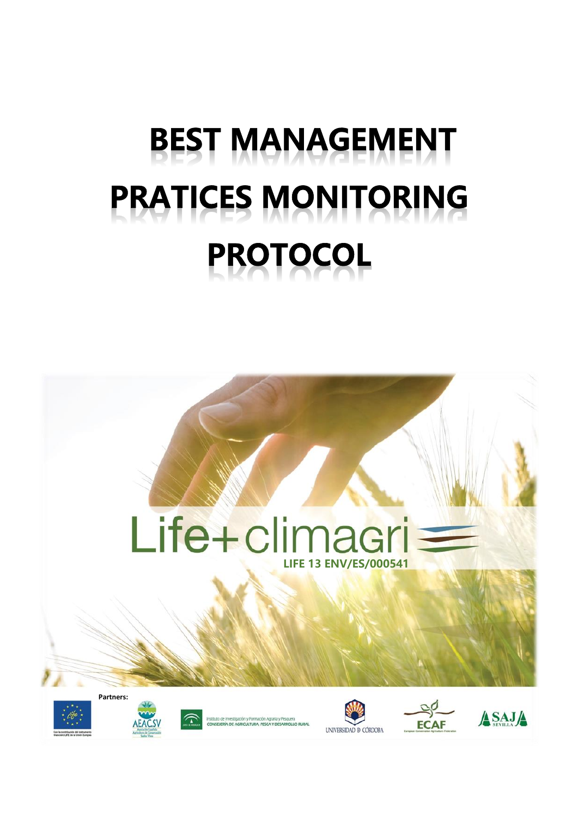# **BEST MANAGEMENT PRATICES MONITORING PROTOCOL**

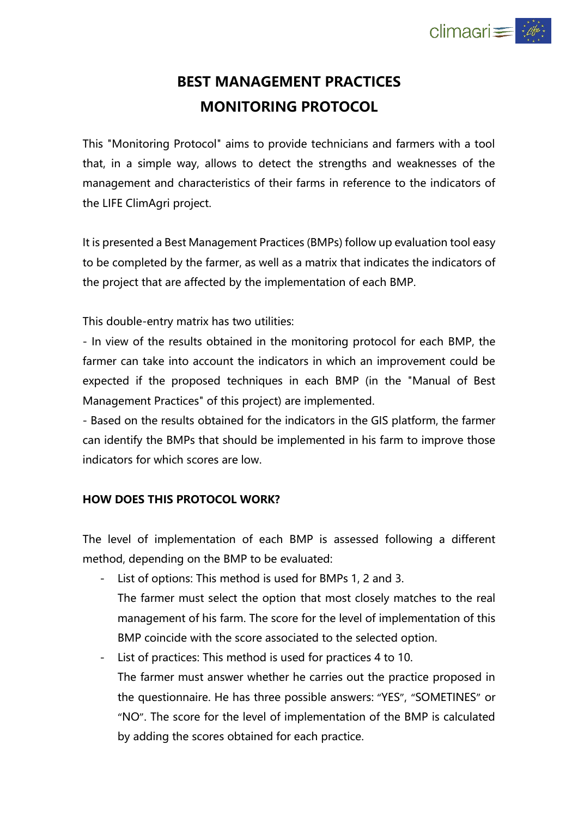

# **BEST MANAGEMENT PRACTICES MONITORING PROTOCOL**

This "Monitoring Protocol" aims to provide technicians and farmers with a tool that, in a simple way, allows to detect the strengths and weaknesses of the management and characteristics of their farms in reference to the indicators of the LIFE ClimAgri project.

It is presented a Best Management Practices (BMPs) follow up evaluation tool easy to be completed by the farmer, as well as a matrix that indicates the indicators of the project that are affected by the implementation of each BMP.

This double-entry matrix has two utilities:

- In view of the results obtained in the monitoring protocol for each BMP, the farmer can take into account the indicators in which an improvement could be expected if the proposed techniques in each BMP (in the "Manual of Best Management Practices" of this project) are implemented.

- Based on the results obtained for the indicators in the GIS platform, the farmer can identify the BMPs that should be implemented in his farm to improve those indicators for which scores are low.

#### **HOW DOES THIS PROTOCOL WORK?**

The level of implementation of each BMP is assessed following a different method, depending on the BMP to be evaluated:

- List of options: This method is used for BMPs 1, 2 and 3.
- The farmer must select the option that most closely matches to the real management of his farm. The score for the level of implementation of this BMP coincide with the score associated to the selected option.
- List of practices: This method is used for practices 4 to 10. The farmer must answer whether he carries out the practice proposed in the questionnaire. He has three possible answers: "YES", "SOMETINES" or "NO". The score for the level of implementation of the BMP is calculated by adding the scores obtained for each practice.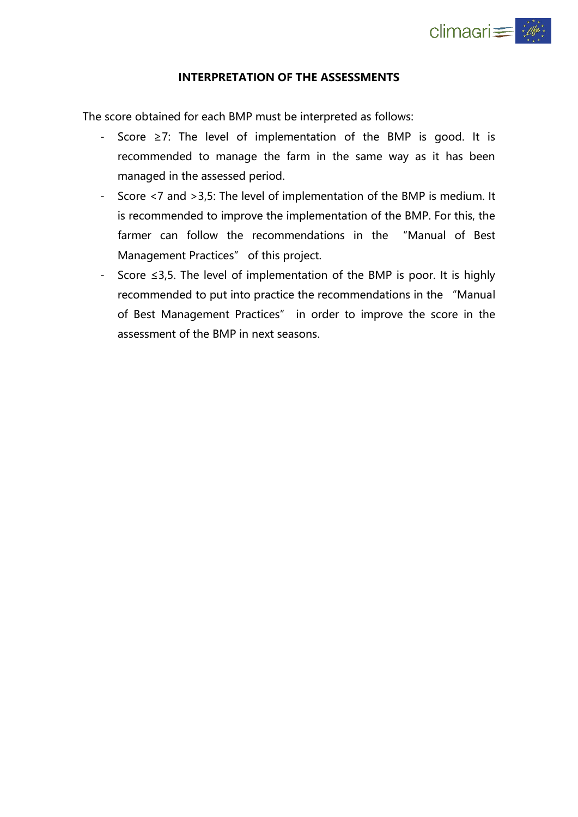

#### **INTERPRETATION OF THE ASSESSMENTS**

The score obtained for each BMP must be interpreted as follows:

- Score ≥7: The level of implementation of the BMP is good. It is recommended to manage the farm in the same way as it has been managed in the assessed period.
- Score <7 and >3,5: The level of implementation of the BMP is medium. It is recommended to improve the implementation of the BMP. For this, the farmer can follow the recommendations in the "Manual of Best Management Practices" of this project.
- Score ≤3,5. The level of implementation of the BMP is poor. It is highly recommended to put into practice the recommendations in the "Manual of Best Management Practices" in order to improve the score in the assessment of the BMP in next seasons.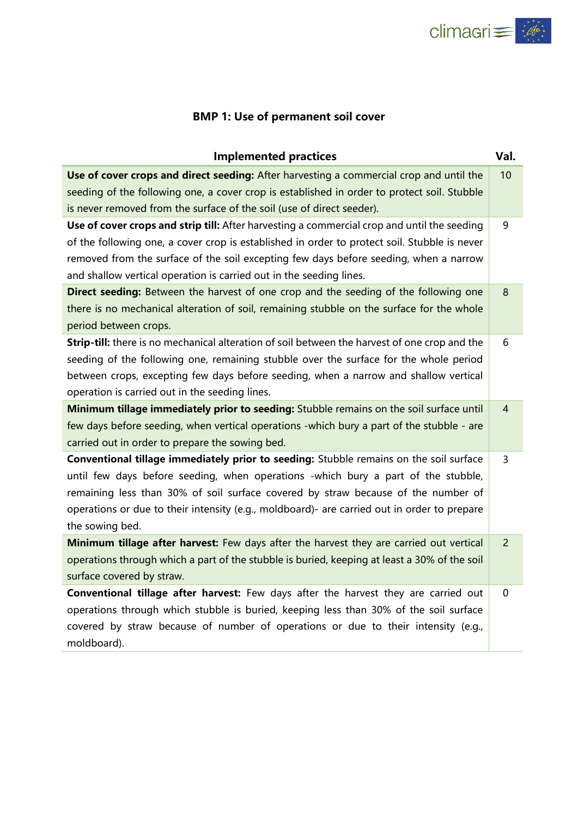

# **BMP 1: Use of permanent soil cover**

| <b>Implemented practices</b>                                                                  | Val.           |
|-----------------------------------------------------------------------------------------------|----------------|
| Use of cover crops and direct seeding: After harvesting a commercial crop and until the       | 10             |
| seeding of the following one, a cover crop is established in order to protect soil. Stubble   |                |
| is never removed from the surface of the soil (use of direct seeder).                         |                |
| Use of cover crops and strip till: After harvesting a commercial crop and until the seeding   | 9              |
| of the following one, a cover crop is established in order to protect soil. Stubble is never  |                |
| removed from the surface of the soil excepting few days before seeding, when a narrow         |                |
| and shallow vertical operation is carried out in the seeding lines.                           |                |
| Direct seeding: Between the harvest of one crop and the seeding of the following one          | 8              |
| there is no mechanical alteration of soil, remaining stubble on the surface for the whole     |                |
| period between crops.                                                                         |                |
| Strip-till: there is no mechanical alteration of soil between the harvest of one crop and the | 6              |
| seeding of the following one, remaining stubble over the surface for the whole period         |                |
| between crops, excepting few days before seeding, when a narrow and shallow vertical          |                |
| operation is carried out in the seeding lines.                                                |                |
| Minimum tillage immediately prior to seeding: Stubble remains on the soil surface until       | $\overline{4}$ |
| few days before seeding, when vertical operations -which bury a part of the stubble - are     |                |
| carried out in order to prepare the sowing bed.                                               |                |
| Conventional tillage immediately prior to seeding: Stubble remains on the soil surface        | 3              |
| until few days before seeding, when operations -which bury a part of the stubble,             |                |
| remaining less than 30% of soil surface covered by straw because of the number of             |                |
| operations or due to their intensity (e.g., moldboard)- are carried out in order to prepare   |                |
| the sowing bed.                                                                               |                |
| Minimum tillage after harvest: Few days after the harvest they are carried out vertical       | $\overline{2}$ |
| operations through which a part of the stubble is buried, keeping at least a 30% of the soil  |                |
| surface covered by straw.                                                                     |                |
| Conventional tillage after harvest: Few days after the harvest they are carried out           | 0              |
| operations through which stubble is buried, keeping less than 30% of the soil surface         |                |
| covered by straw because of number of operations or due to their intensity (e.g.,             |                |
| moldboard).                                                                                   |                |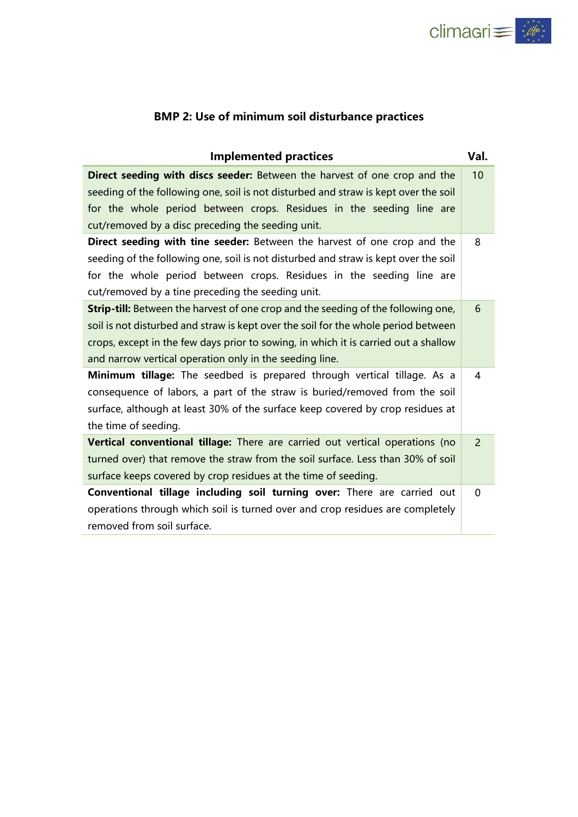

# **BMP 2: Use of minimum soil disturbance practices**

| <b>Implemented practices</b>                                                             | Val.     |
|------------------------------------------------------------------------------------------|----------|
| Direct seeding with discs seeder: Between the harvest of one crop and the                | 10       |
| seeding of the following one, soil is not disturbed and straw is kept over the soil      |          |
| for the whole period between crops. Residues in the seeding line are                     |          |
| cut/removed by a disc preceding the seeding unit.                                        |          |
| Direct seeding with tine seeder: Between the harvest of one crop and the                 | 8        |
| seeding of the following one, soil is not disturbed and straw is kept over the soil      |          |
| for the whole period between crops. Residues in the seeding line are                     |          |
| cut/removed by a tine preceding the seeding unit.                                        |          |
| <b>Strip-till:</b> Between the harvest of one crop and the seeding of the following one, | 6        |
| soil is not disturbed and straw is kept over the soil for the whole period between       |          |
| crops, except in the few days prior to sowing, in which it is carried out a shallow      |          |
| and narrow vertical operation only in the seeding line.                                  |          |
| Minimum tillage: The seedbed is prepared through vertical tillage. As a                  | 4        |
| consequence of labors, a part of the straw is buried/removed from the soil               |          |
| surface, although at least 30% of the surface keep covered by crop residues at           |          |
| the time of seeding.                                                                     |          |
| Vertical conventional tillage: There are carried out vertical operations (no             | 2        |
| turned over) that remove the straw from the soil surface. Less than 30% of soil          |          |
| surface keeps covered by crop residues at the time of seeding.                           |          |
| Conventional tillage including soil turning over: There are carried out                  | $\Omega$ |
| operations through which soil is turned over and crop residues are completely            |          |
| removed from soil surface.                                                               |          |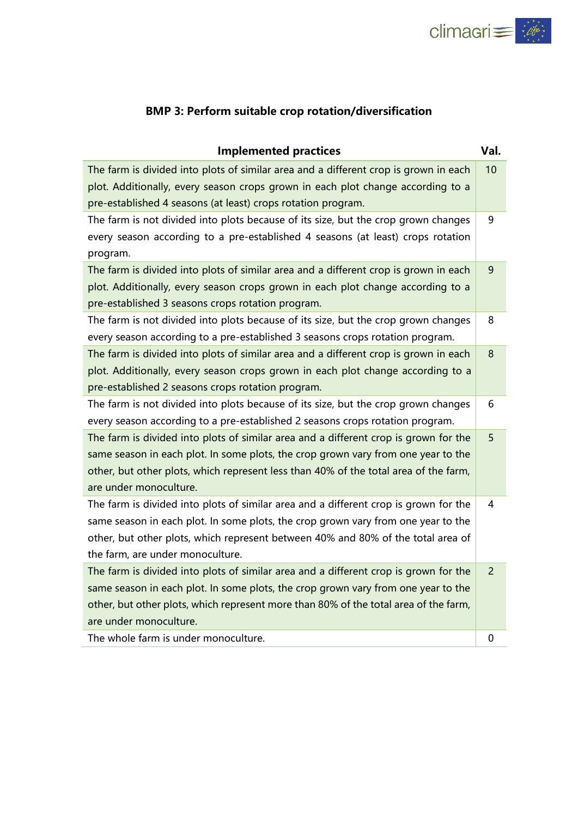

#### **BMP 3: Perform suitable crop rotation/diversification**

| <b>Implemented practices</b>                                                         | Val.           |
|--------------------------------------------------------------------------------------|----------------|
| The farm is divided into plots of similar area and a different crop is grown in each | 10             |
| plot. Additionally, every season crops grown in each plot change according to a      |                |
| pre-established 4 seasons (at least) crops rotation program.                         |                |
| The farm is not divided into plots because of its size, but the crop grown changes   | 9              |
| every season according to a pre-established 4 seasons (at least) crops rotation      |                |
| program.                                                                             |                |
| The farm is divided into plots of similar area and a different crop is grown in each | 9              |
| plot. Additionally, every season crops grown in each plot change according to a      |                |
| pre-established 3 seasons crops rotation program.                                    |                |
| The farm is not divided into plots because of its size, but the crop grown changes   | 8              |
| every season according to a pre-established 3 seasons crops rotation program.        |                |
| The farm is divided into plots of similar area and a different crop is grown in each | $\bf 8$        |
| plot. Additionally, every season crops grown in each plot change according to a      |                |
| pre-established 2 seasons crops rotation program.                                    |                |
| The farm is not divided into plots because of its size, but the crop grown changes   | 6              |
| every season according to a pre-established 2 seasons crops rotation program.        |                |
| The farm is divided into plots of similar area and a different crop is grown for the | 5              |
| same season in each plot. In some plots, the crop grown vary from one year to the    |                |
| other, but other plots, which represent less than 40% of the total area of the farm, |                |
| are under monoculture.                                                               |                |
| The farm is divided into plots of similar area and a different crop is grown for the | 4              |
| same season in each plot. In some plots, the crop grown vary from one year to the    |                |
| other, but other plots, which represent between 40% and 80% of the total area of     |                |
| the farm, are under monoculture.                                                     |                |
| The farm is divided into plots of similar area and a different crop is grown for the | $\overline{2}$ |
| same season in each plot. In some plots, the crop grown vary from one year to the    |                |
| other, but other plots, which represent more than 80% of the total area of the farm, |                |
| are under monoculture.                                                               |                |
| The whole farm is under monoculture.                                                 | 0              |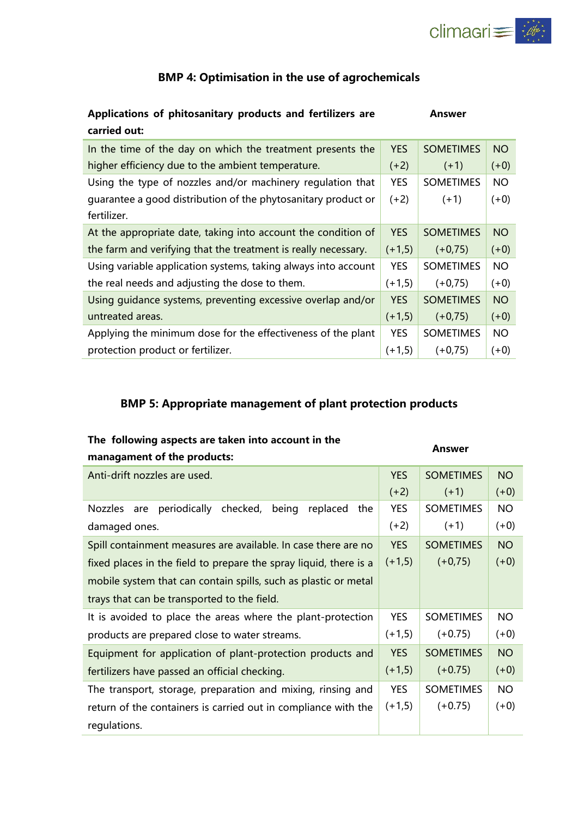

#### **BMP 4: Optimisation in the use of agrochemicals**

#### **Applications of phitosanitary products and fertilizers are carried out: Answer**

| In the time of the day on which the treatment presents the     | <b>YES</b> | <b>SOMETIMES</b> | <b>NO</b> |
|----------------------------------------------------------------|------------|------------------|-----------|
| higher efficiency due to the ambient temperature.              | $(+2)$     | $(+1)$           | $(+0)$    |
| Using the type of nozzles and/or machinery regulation that     | <b>YES</b> | <b>SOMETIMES</b> | <b>NO</b> |
| guarantee a good distribution of the phytosanitary product or  | $(+2)$     | $(+1)$           | $(+0)$    |
| fertilizer.                                                    |            |                  |           |
| At the appropriate date, taking into account the condition of  | <b>YES</b> | <b>SOMETIMES</b> | <b>NO</b> |
| the farm and verifying that the treatment is really necessary. | $(+1,5)$   | $(+0,75)$        | $(+0)$    |
| Using variable application systems, taking always into account | <b>YES</b> | <b>SOMETIMES</b> | <b>NO</b> |
| the real needs and adjusting the dose to them.                 | $(+1,5)$   | $(+0,75)$        | $(+0)$    |
| Using guidance systems, preventing excessive overlap and/or    | <b>YES</b> | <b>SOMETIMES</b> | <b>NO</b> |
| untreated areas.                                               | $(+1,5)$   | $(+0,75)$        | $(+0)$    |
| Applying the minimum dose for the effectiveness of the plant   | <b>YES</b> | <b>SOMETIMES</b> | <b>NO</b> |
| protection product or fertilizer.                              | $(+1,5)$   | $(+0.75)$        | $(+0)$    |

#### **BMP 5: Appropriate management of plant protection products**

#### **The following aspects are taken into account in the**

#### **Answer**

| managament of the products:                                       |            | мнэм с           |           |  |  |  |  |  |  |  |  |  |
|-------------------------------------------------------------------|------------|------------------|-----------|--|--|--|--|--|--|--|--|--|
| Anti-drift nozzles are used.                                      | <b>YES</b> | <b>NO</b>        |           |  |  |  |  |  |  |  |  |  |
| $(+2)$<br>$(+1)$                                                  |            |                  |           |  |  |  |  |  |  |  |  |  |
| periodically checked,<br>being<br>replaced<br>Nozzles are<br>the  | <b>YES</b> | <b>SOMETIMES</b> | <b>NO</b> |  |  |  |  |  |  |  |  |  |
| $(+2)$<br>$(+1)$<br>damaged ones.                                 |            |                  |           |  |  |  |  |  |  |  |  |  |
| Spill containment measures are available. In case there are no    | <b>YES</b> | <b>SOMETIMES</b> | <b>NO</b> |  |  |  |  |  |  |  |  |  |
| fixed places in the field to prepare the spray liquid, there is a | $(+1,5)$   | $(+0,75)$        | $(+0)$    |  |  |  |  |  |  |  |  |  |
| mobile system that can contain spills, such as plastic or metal   |            |                  |           |  |  |  |  |  |  |  |  |  |
| trays that can be transported to the field.                       |            |                  |           |  |  |  |  |  |  |  |  |  |
| It is avoided to place the areas where the plant-protection       | <b>YES</b> | <b>SOMETIMES</b> | <b>NO</b> |  |  |  |  |  |  |  |  |  |
| products are prepared close to water streams.                     | $(+1,5)$   | $(+0.75)$        | $(+0)$    |  |  |  |  |  |  |  |  |  |
| Equipment for application of plant-protection products and        | <b>YES</b> | <b>SOMETIMES</b> | <b>NO</b> |  |  |  |  |  |  |  |  |  |
| fertilizers have passed an official checking.                     | $(+1,5)$   | $(+0.75)$        | $(+0)$    |  |  |  |  |  |  |  |  |  |
| The transport, storage, preparation and mixing, rinsing and       | <b>YES</b> | <b>SOMETIMES</b> | <b>NO</b> |  |  |  |  |  |  |  |  |  |
| return of the containers is carried out in compliance with the    | $(+1,5)$   | $(+0.75)$        | $(+0)$    |  |  |  |  |  |  |  |  |  |
| regulations.                                                      |            |                  |           |  |  |  |  |  |  |  |  |  |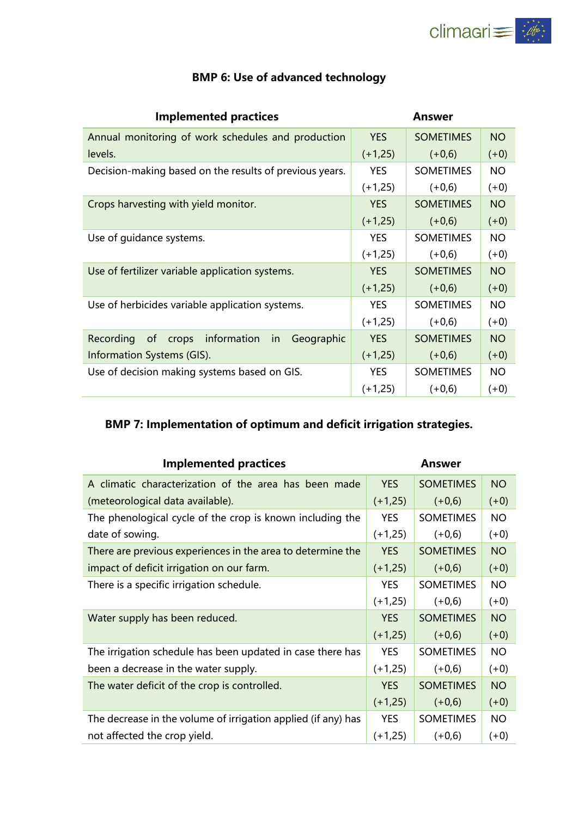

| <b>Implemented practices</b>                                        | Answer     |                  |           |  |  |  |  |
|---------------------------------------------------------------------|------------|------------------|-----------|--|--|--|--|
| Annual monitoring of work schedules and production                  | <b>YES</b> | <b>SOMETIMES</b> | <b>NO</b> |  |  |  |  |
| levels.                                                             | $(+1,25)$  | $(+0,6)$         | $(+0)$    |  |  |  |  |
| Decision-making based on the results of previous years.             | <b>YES</b> | <b>SOMETIMES</b> | NO.       |  |  |  |  |
|                                                                     | $(+1,25)$  | $(+0,6)$         | $(+0)$    |  |  |  |  |
| Crops harvesting with yield monitor.                                | <b>YES</b> | <b>SOMETIMES</b> | <b>NO</b> |  |  |  |  |
|                                                                     | $(+1,25)$  | $(+0,6)$         | $(+0)$    |  |  |  |  |
| Use of guidance systems.                                            | <b>YES</b> | <b>SOMETIMES</b> | <b>NO</b> |  |  |  |  |
|                                                                     | $(+1,25)$  | $(+0,6)$         | $(+0)$    |  |  |  |  |
| Use of fertilizer variable application systems.                     | <b>YES</b> | <b>SOMETIMES</b> | <b>NO</b> |  |  |  |  |
|                                                                     | $(+1,25)$  | $(+0,6)$         | $(+0)$    |  |  |  |  |
| Use of herbicides variable application systems.                     | <b>YES</b> | <b>SOMETIMES</b> | <b>NO</b> |  |  |  |  |
|                                                                     | $(+1,25)$  | $(+0,6)$         | $(+0)$    |  |  |  |  |
| crops information<br>Geographic<br>Recording<br><sub>of</sub><br>in | <b>YES</b> | <b>SOMETIMES</b> | <b>NO</b> |  |  |  |  |
| Information Systems (GIS).                                          | $(+1,25)$  | $(+0,6)$         | $(+0)$    |  |  |  |  |
| Use of decision making systems based on GIS.                        | <b>YES</b> | <b>SOMETIMES</b> | <b>NO</b> |  |  |  |  |
|                                                                     | $(+1,25)$  | $(+0,6)$         | $(+0)$    |  |  |  |  |

### **BMP 6: Use of advanced technology**

# **BMP 7: Implementation of optimum and deficit irrigation strategies.**

| <b>Implemented practices</b>                                  |            | Answer                        |           |  |
|---------------------------------------------------------------|------------|-------------------------------|-----------|--|
| A climatic characterization of the area has been made         | <b>YES</b> | <b>SOMETIMES</b>              | <b>NO</b> |  |
| (meteorological data available).                              | $(+1,25)$  | $(+0,6)$                      | $(+0)$    |  |
| The phenological cycle of the crop is known including the     | <b>YES</b> | <b>SOMETIMES</b>              | NO.       |  |
| date of sowing.                                               | $(+1,25)$  | $(+0,6)$                      | $(+0)$    |  |
| There are previous experiences in the area to determine the   | <b>YES</b> | <b>SOMETIMES</b>              | <b>NO</b> |  |
| impact of deficit irrigation on our farm.                     | $(+1,25)$  | $(+0,6)$                      | $(+0)$    |  |
| There is a specific irrigation schedule.                      | <b>YES</b> | <b>SOMETIMES</b><br><b>NO</b> |           |  |
|                                                               | $(+1,25)$  | $(+0,6)$                      | $(+0)$    |  |
| Water supply has been reduced.                                | <b>YES</b> | <b>SOMETIMES</b>              | <b>NO</b> |  |
|                                                               | $(+1,25)$  | $(+0,6)$                      | $(+0)$    |  |
| The irrigation schedule has been updated in case there has    | <b>YES</b> | <b>SOMETIMES</b>              | <b>NO</b> |  |
| been a decrease in the water supply.                          | $(+1,25)$  | $(+0,6)$                      | $(+0)$    |  |
| The water deficit of the crop is controlled.                  | <b>YES</b> | <b>SOMETIMES</b>              | <b>NO</b> |  |
|                                                               | $(+1,25)$  | $(+0,6)$                      | $(+0)$    |  |
| The decrease in the volume of irrigation applied (if any) has | YES.       | <b>SOMETIMES</b>              | NO.       |  |
| not affected the crop yield.                                  | $(+1,25)$  | $(+0,6)$                      | $(+0)$    |  |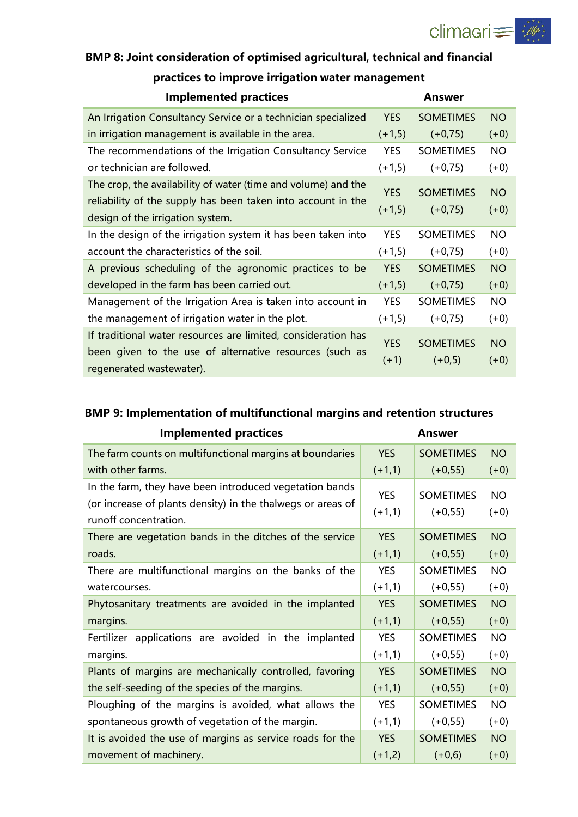

| BiviP 8: Joint consideration of optimised adricultural, technical and financial |          |                  |        |  |  |  |  |  |  |  |  |  |
|---------------------------------------------------------------------------------|----------|------------------|--------|--|--|--|--|--|--|--|--|--|
| practices to improve irrigation water management                                |          |                  |        |  |  |  |  |  |  |  |  |  |
| <b>Implemented practices</b>                                                    |          | Answer           |        |  |  |  |  |  |  |  |  |  |
| An Irrigation Consultancy Service or a technician specialized                   | YES.     | <b>SOMETIMES</b> | NO.    |  |  |  |  |  |  |  |  |  |
| in irrigation management is available in the area.                              | $(+1,5)$ | $(+0.75)$        | $(+0)$ |  |  |  |  |  |  |  |  |  |
|                                                                                 |          |                  |        |  |  |  |  |  |  |  |  |  |

# **BMP 8: Joint consideration of optimised agricultural, technical and financial**

| in irrigation management is available in the area.            | $(+1,5)$   | $(+0,75)$        | $(+0)$    |
|---------------------------------------------------------------|------------|------------------|-----------|
| The recommendations of the Irrigation Consultancy Service     | <b>YES</b> | <b>SOMETIMES</b> | <b>NO</b> |
| or technician are followed.                                   | $(+1,5)$   | $(+0,75)$        | $(+0)$    |
| The crop, the availability of water (time and volume) and the | YES.       | <b>SOMETIMES</b> | <b>NO</b> |
| reliability of the supply has been taken into account in the  | $(+1,5)$   | $(+0,75)$        | $(+0)$    |
| design of the irrigation system.                              |            |                  |           |
| In the design of the irrigation system it has been taken into | <b>YES</b> | <b>SOMETIMES</b> | <b>NO</b> |
| account the characteristics of the soil.                      | $(+1,5)$   | $(+0,75)$        | $(+0)$    |
| A previous scheduling of the agronomic practices to be        | <b>YES</b> | <b>SOMETIMES</b> | <b>NO</b> |
| developed in the farm has been carried out.                   | $(+1,5)$   | $(+0,75)$        | $(+0)$    |
| Management of the Irrigation Area is taken into account in    | <b>YES</b> | <b>SOMETIMES</b> | <b>NO</b> |
| the management of irrigation water in the plot.               | $(+1,5)$   | $(+0,75)$        | $(+0)$    |
| If traditional water resources are limited, consideration has |            |                  |           |
| been given to the use of alternative resources (such as       | <b>YES</b> | <b>SOMETIMES</b> | <b>NO</b> |
| regenerated wastewater).                                      | $(+1)$     | $(+0,5)$         | $(+0)$    |

# **BMP 9: Implementation of multifunctional margins and retention structures**

| Implemented practices                                       | Answer     |                  |           |  |  |  |
|-------------------------------------------------------------|------------|------------------|-----------|--|--|--|
| The farm counts on multifunctional margins at boundaries    | <b>YES</b> | <b>SOMETIMES</b> | <b>NO</b> |  |  |  |
| with other farms.                                           | $(+1,1)$   | $(+0, 55)$       | $(+0)$    |  |  |  |
| In the farm, they have been introduced vegetation bands     | <b>YES</b> | <b>SOMETIMES</b> | <b>NO</b> |  |  |  |
| (or increase of plants density) in the thalwegs or areas of | $(+1,1)$   | $(+0, 55)$       | $(+0)$    |  |  |  |
| runoff concentration.                                       |            |                  |           |  |  |  |
| There are vegetation bands in the ditches of the service    | <b>YES</b> | <b>SOMETIMES</b> | <b>NO</b> |  |  |  |
| roads.                                                      | $(+1,1)$   | $(+0, 55)$       | $(+0)$    |  |  |  |
| There are multifunctional margins on the banks of the       | <b>YES</b> | <b>SOMETIMES</b> | <b>NO</b> |  |  |  |
| watercourses.                                               | $(+1,1)$   | $(+0, 55)$       | $(+0)$    |  |  |  |
| Phytosanitary treatments are avoided in the implanted       | <b>YES</b> | <b>SOMETIMES</b> | <b>NO</b> |  |  |  |
| margins.                                                    | $(+1,1)$   | $(+0, 55)$       | $(+0)$    |  |  |  |
| Fertilizer applications are avoided in the implanted        | <b>YES</b> | <b>SOMETIMES</b> | NO.       |  |  |  |
| margins.                                                    | $(+1,1)$   | $(+0, 55)$       | $(+0)$    |  |  |  |
| Plants of margins are mechanically controlled, favoring     | <b>YES</b> | <b>SOMETIMES</b> | <b>NO</b> |  |  |  |
| the self-seeding of the species of the margins.             | $(+1,1)$   | $(+0, 55)$       | $(+0)$    |  |  |  |
| Ploughing of the margins is avoided, what allows the        | <b>YES</b> | <b>SOMETIMES</b> | NO.       |  |  |  |
| spontaneous growth of vegetation of the margin.             | $(+1,1)$   | $(+0, 55)$       | $(+0)$    |  |  |  |
| It is avoided the use of margins as service roads for the   | <b>YES</b> | <b>SOMETIMES</b> | <b>NO</b> |  |  |  |
| movement of machinery.                                      | $(+1,2)$   | $(+0,6)$         | $(+0)$    |  |  |  |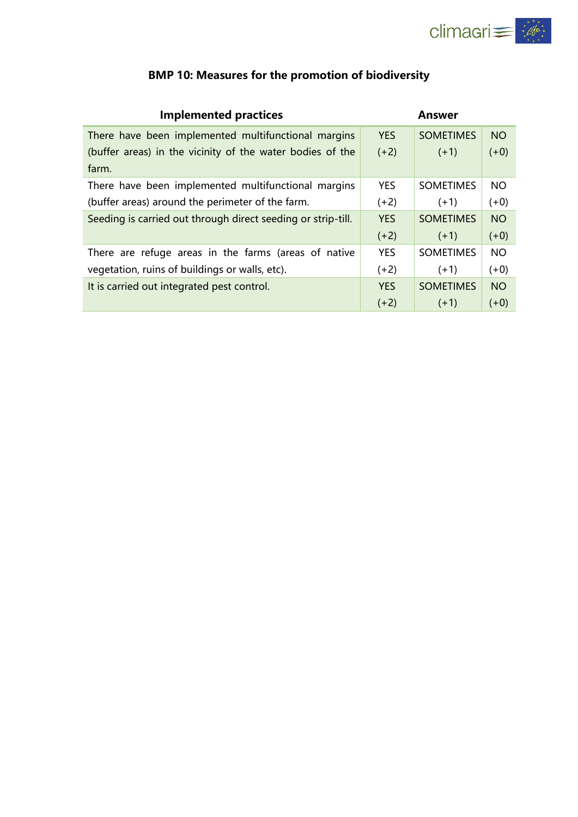

| <b>Implemented practices</b>                                 |            | Answer           |           |
|--------------------------------------------------------------|------------|------------------|-----------|
| There have been implemented multifunctional margins          | <b>YES</b> | <b>SOMETIMES</b> | <b>NO</b> |
| (buffer areas) in the vicinity of the water bodies of the    | $(+2)$     | $(+1)$           | $(+0)$    |
| farm.                                                        |            |                  |           |
| There have been implemented multifunctional margins          | <b>YES</b> | <b>SOMETIMES</b> | <b>NO</b> |
| (buffer areas) around the perimeter of the farm.             | $(+2)$     | $(+1)$           | $(+0)$    |
| Seeding is carried out through direct seeding or strip-till. | <b>YES</b> | <b>SOMETIMES</b> | <b>NO</b> |
|                                                              | $(+2)$     | $(+1)$           | $(+0)$    |
| There are refuge areas in the farms (areas of native         | <b>YES</b> | <b>SOMETIMES</b> | <b>NO</b> |
| vegetation, ruins of buildings or walls, etc).               | $(+2)$     | $(+1)$           | $(+0)$    |
| It is carried out integrated pest control.                   | <b>YES</b> | <b>SOMETIMES</b> | <b>NO</b> |
|                                                              | $(+2)$     | $(+1)$           | $(+0)$    |

# **BMP 10: Measures for the promotion of biodiversity**